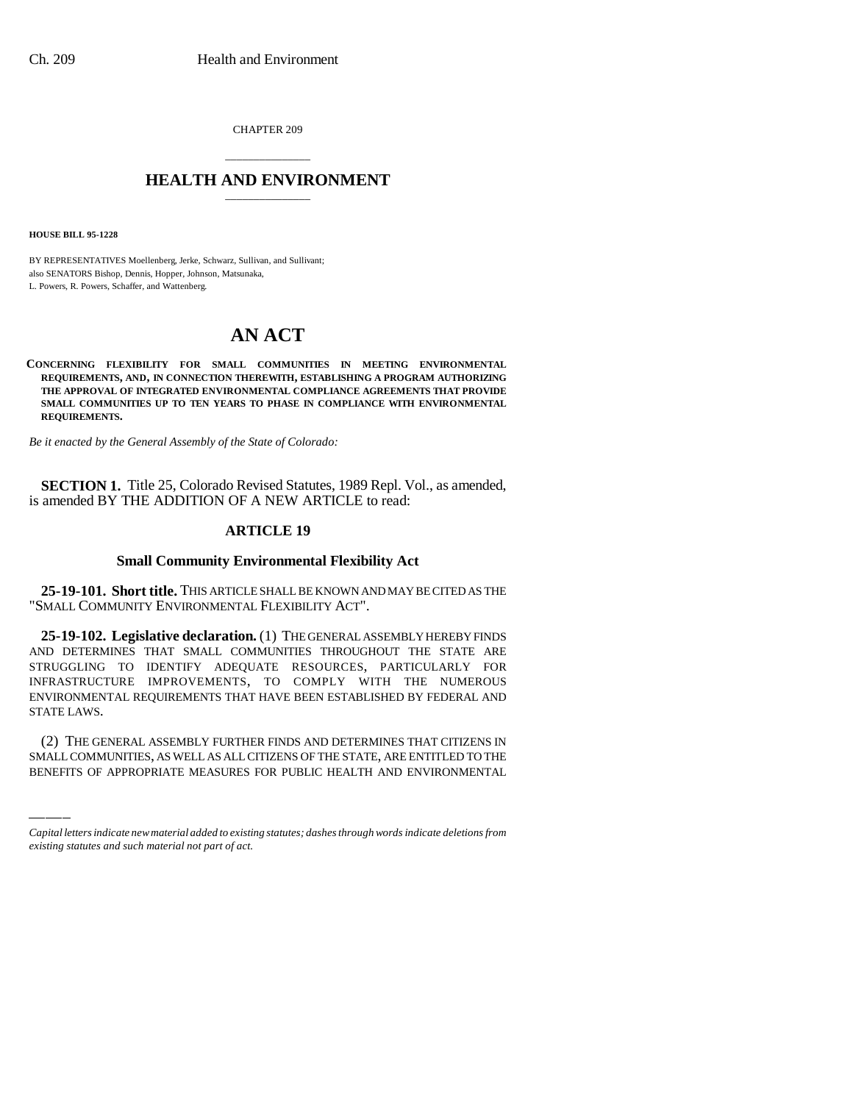CHAPTER 209

## \_\_\_\_\_\_\_\_\_\_\_\_\_\_\_ **HEALTH AND ENVIRONMENT** \_\_\_\_\_\_\_\_\_\_\_\_\_\_\_

**HOUSE BILL 95-1228**

BY REPRESENTATIVES Moellenberg, Jerke, Schwarz, Sullivan, and Sullivant; also SENATORS Bishop, Dennis, Hopper, Johnson, Matsunaka, L. Powers, R. Powers, Schaffer, and Wattenberg.

# **AN ACT**

#### **CONCERNING FLEXIBILITY FOR SMALL COMMUNITIES IN MEETING ENVIRONMENTAL REQUIREMENTS, AND, IN CONNECTION THEREWITH, ESTABLISHING A PROGRAM AUTHORIZING THE APPROVAL OF INTEGRATED ENVIRONMENTAL COMPLIANCE AGREEMENTS THAT PROVIDE SMALL COMMUNITIES UP TO TEN YEARS TO PHASE IN COMPLIANCE WITH ENVIRONMENTAL REQUIREMENTS.**

*Be it enacted by the General Assembly of the State of Colorado:*

**SECTION 1.** Title 25, Colorado Revised Statutes, 1989 Repl. Vol., as amended, is amended BY THE ADDITION OF A NEW ARTICLE to read:

## **ARTICLE 19**

### **Small Community Environmental Flexibility Act**

**25-19-101. Short title.** THIS ARTICLE SHALL BE KNOWN AND MAY BE CITED AS THE "SMALL COMMUNITY ENVIRONMENTAL FLEXIBILITY ACT".

STATE LAWS. **25-19-102. Legislative declaration.** (1) THE GENERAL ASSEMBLY HEREBY FINDS AND DETERMINES THAT SMALL COMMUNITIES THROUGHOUT THE STATE ARE STRUGGLING TO IDENTIFY ADEQUATE RESOURCES, PARTICULARLY FOR INFRASTRUCTURE IMPROVEMENTS, TO COMPLY WITH THE NUMEROUS ENVIRONMENTAL REQUIREMENTS THAT HAVE BEEN ESTABLISHED BY FEDERAL AND

(2) THE GENERAL ASSEMBLY FURTHER FINDS AND DETERMINES THAT CITIZENS IN SMALL COMMUNITIES, AS WELL AS ALL CITIZENS OF THE STATE, ARE ENTITLED TO THE BENEFITS OF APPROPRIATE MEASURES FOR PUBLIC HEALTH AND ENVIRONMENTAL

*Capital letters indicate new material added to existing statutes; dashes through words indicate deletions from existing statutes and such material not part of act.*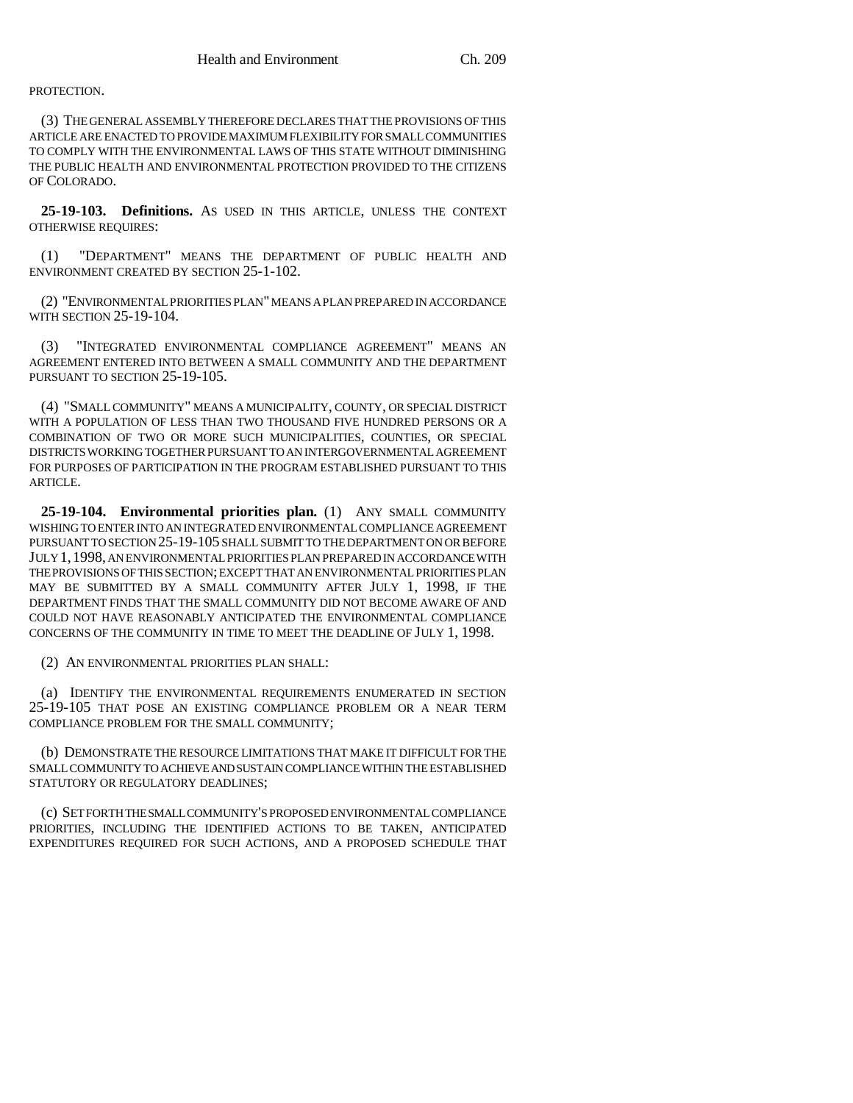PROTECTION.

(3) THE GENERAL ASSEMBLY THEREFORE DECLARES THAT THE PROVISIONS OF THIS ARTICLE ARE ENACTED TO PROVIDE MAXIMUM FLEXIBILITY FOR SMALL COMMUNITIES TO COMPLY WITH THE ENVIRONMENTAL LAWS OF THIS STATE WITHOUT DIMINISHING THE PUBLIC HEALTH AND ENVIRONMENTAL PROTECTION PROVIDED TO THE CITIZENS OF COLORADO.

**25-19-103. Definitions.** AS USED IN THIS ARTICLE, UNLESS THE CONTEXT OTHERWISE REQUIRES:

(1) "DEPARTMENT" MEANS THE DEPARTMENT OF PUBLIC HEALTH AND ENVIRONMENT CREATED BY SECTION 25-1-102.

(2) "ENVIRONMENTAL PRIORITIES PLAN" MEANS A PLAN PREPARED IN ACCORDANCE WITH SECTION 25-19-104.

(3) "INTEGRATED ENVIRONMENTAL COMPLIANCE AGREEMENT" MEANS AN AGREEMENT ENTERED INTO BETWEEN A SMALL COMMUNITY AND THE DEPARTMENT PURSUANT TO SECTION 25-19-105.

(4) "SMALL COMMUNITY" MEANS A MUNICIPALITY, COUNTY, OR SPECIAL DISTRICT WITH A POPULATION OF LESS THAN TWO THOUSAND FIVE HUNDRED PERSONS OR A COMBINATION OF TWO OR MORE SUCH MUNICIPALITIES, COUNTIES, OR SPECIAL DISTRICTS WORKING TOGETHER PURSUANT TO AN INTERGOVERNMENTAL AGREEMENT FOR PURPOSES OF PARTICIPATION IN THE PROGRAM ESTABLISHED PURSUANT TO THIS ARTICLE.

**25-19-104. Environmental priorities plan.** (1) ANY SMALL COMMUNITY WISHING TO ENTER INTO AN INTEGRATED ENVIRONMENTAL COMPLIANCE AGREEMENT PURSUANT TO SECTION 25-19-105 SHALL SUBMIT TO THE DEPARTMENT ON OR BEFORE JULY 1,1998, AN ENVIRONMENTAL PRIORITIES PLAN PREPARED IN ACCORDANCE WITH THE PROVISIONS OF THIS SECTION; EXCEPT THAT AN ENVIRONMENTAL PRIORITIES PLAN MAY BE SUBMITTED BY A SMALL COMMUNITY AFTER JULY 1, 1998, IF THE DEPARTMENT FINDS THAT THE SMALL COMMUNITY DID NOT BECOME AWARE OF AND COULD NOT HAVE REASONABLY ANTICIPATED THE ENVIRONMENTAL COMPLIANCE CONCERNS OF THE COMMUNITY IN TIME TO MEET THE DEADLINE OF JULY 1, 1998.

(2) AN ENVIRONMENTAL PRIORITIES PLAN SHALL:

(a) IDENTIFY THE ENVIRONMENTAL REQUIREMENTS ENUMERATED IN SECTION 25-19-105 THAT POSE AN EXISTING COMPLIANCE PROBLEM OR A NEAR TERM COMPLIANCE PROBLEM FOR THE SMALL COMMUNITY;

(b) DEMONSTRATE THE RESOURCE LIMITATIONS THAT MAKE IT DIFFICULT FOR THE SMALL COMMUNITY TO ACHIEVE AND SUSTAIN COMPLIANCE WITHIN THE ESTABLISHED STATUTORY OR REGULATORY DEADLINES;

(c) SET FORTH THE SMALL COMMUNITY'S PROPOSED ENVIRONMENTAL COMPLIANCE PRIORITIES, INCLUDING THE IDENTIFIED ACTIONS TO BE TAKEN, ANTICIPATED EXPENDITURES REQUIRED FOR SUCH ACTIONS, AND A PROPOSED SCHEDULE THAT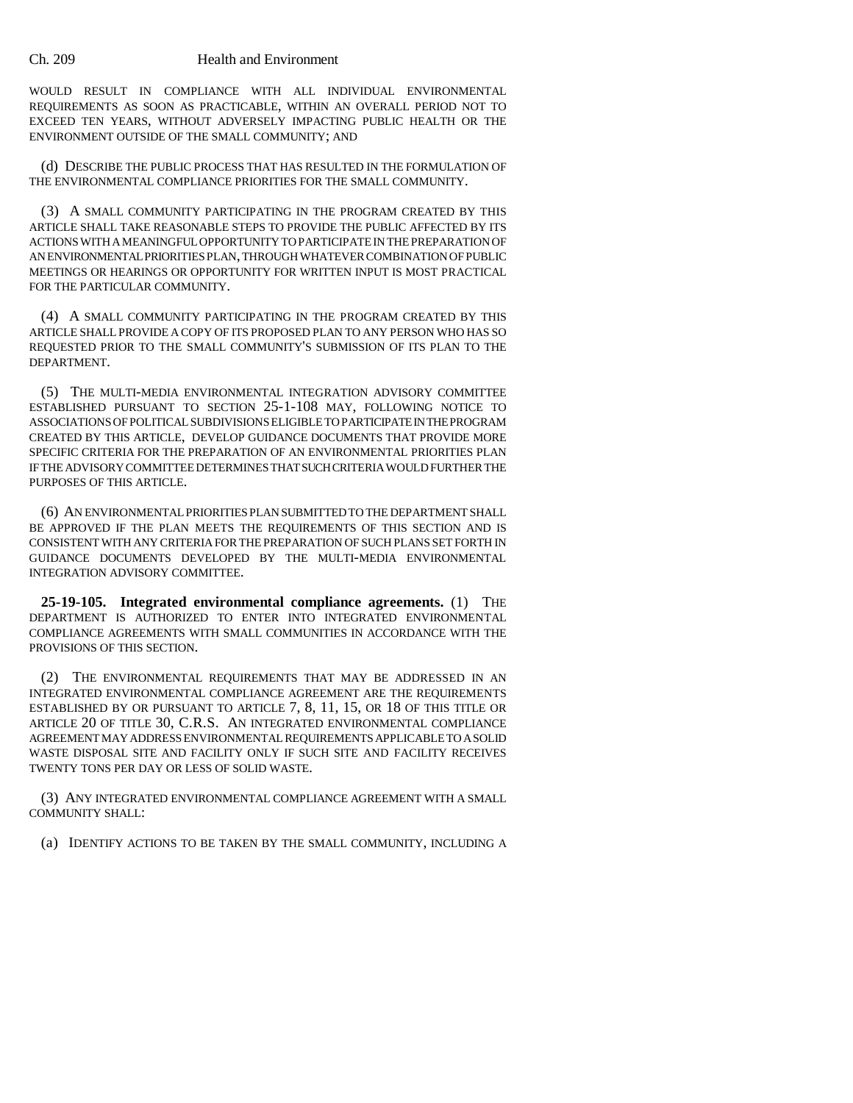WOULD RESULT IN COMPLIANCE WITH ALL INDIVIDUAL ENVIRONMENTAL REQUIREMENTS AS SOON AS PRACTICABLE, WITHIN AN OVERALL PERIOD NOT TO EXCEED TEN YEARS, WITHOUT ADVERSELY IMPACTING PUBLIC HEALTH OR THE ENVIRONMENT OUTSIDE OF THE SMALL COMMUNITY; AND

(d) DESCRIBE THE PUBLIC PROCESS THAT HAS RESULTED IN THE FORMULATION OF THE ENVIRONMENTAL COMPLIANCE PRIORITIES FOR THE SMALL COMMUNITY.

(3) A SMALL COMMUNITY PARTICIPATING IN THE PROGRAM CREATED BY THIS ARTICLE SHALL TAKE REASONABLE STEPS TO PROVIDE THE PUBLIC AFFECTED BY ITS ACTIONS WITH A MEANINGFUL OPPORTUNITY TO PARTICIPATE IN THE PREPARATION OF AN ENVIRONMENTAL PRIORITIES PLAN, THROUGH WHATEVER COMBINATION OF PUBLIC MEETINGS OR HEARINGS OR OPPORTUNITY FOR WRITTEN INPUT IS MOST PRACTICAL FOR THE PARTICULAR COMMUNITY.

(4) A SMALL COMMUNITY PARTICIPATING IN THE PROGRAM CREATED BY THIS ARTICLE SHALL PROVIDE A COPY OF ITS PROPOSED PLAN TO ANY PERSON WHO HAS SO REQUESTED PRIOR TO THE SMALL COMMUNITY'S SUBMISSION OF ITS PLAN TO THE DEPARTMENT.

(5) THE MULTI-MEDIA ENVIRONMENTAL INTEGRATION ADVISORY COMMITTEE ESTABLISHED PURSUANT TO SECTION 25-1-108 MAY, FOLLOWING NOTICE TO ASSOCIATIONS OF POLITICAL SUBDIVISIONS ELIGIBLE TO PARTICIPATE IN THE PROGRAM CREATED BY THIS ARTICLE, DEVELOP GUIDANCE DOCUMENTS THAT PROVIDE MORE SPECIFIC CRITERIA FOR THE PREPARATION OF AN ENVIRONMENTAL PRIORITIES PLAN IF THE ADVISORY COMMITTEE DETERMINES THAT SUCH CRITERIA WOULD FURTHER THE PURPOSES OF THIS ARTICLE.

(6) AN ENVIRONMENTAL PRIORITIES PLAN SUBMITTED TO THE DEPARTMENT SHALL BE APPROVED IF THE PLAN MEETS THE REQUIREMENTS OF THIS SECTION AND IS CONSISTENT WITH ANY CRITERIA FOR THE PREPARATION OF SUCH PLANS SET FORTH IN GUIDANCE DOCUMENTS DEVELOPED BY THE MULTI-MEDIA ENVIRONMENTAL INTEGRATION ADVISORY COMMITTEE.

**25-19-105. Integrated environmental compliance agreements.** (1) THE DEPARTMENT IS AUTHORIZED TO ENTER INTO INTEGRATED ENVIRONMENTAL COMPLIANCE AGREEMENTS WITH SMALL COMMUNITIES IN ACCORDANCE WITH THE PROVISIONS OF THIS SECTION.

(2) THE ENVIRONMENTAL REQUIREMENTS THAT MAY BE ADDRESSED IN AN INTEGRATED ENVIRONMENTAL COMPLIANCE AGREEMENT ARE THE REQUIREMENTS ESTABLISHED BY OR PURSUANT TO ARTICLE 7, 8, 11, 15, OR 18 OF THIS TITLE OR ARTICLE 20 OF TITLE 30, C.R.S. AN INTEGRATED ENVIRONMENTAL COMPLIANCE AGREEMENT MAY ADDRESS ENVIRONMENTAL REQUIREMENTS APPLICABLE TO A SOLID WASTE DISPOSAL SITE AND FACILITY ONLY IF SUCH SITE AND FACILITY RECEIVES TWENTY TONS PER DAY OR LESS OF SOLID WASTE.

(3) ANY INTEGRATED ENVIRONMENTAL COMPLIANCE AGREEMENT WITH A SMALL COMMUNITY SHALL:

(a) IDENTIFY ACTIONS TO BE TAKEN BY THE SMALL COMMUNITY, INCLUDING A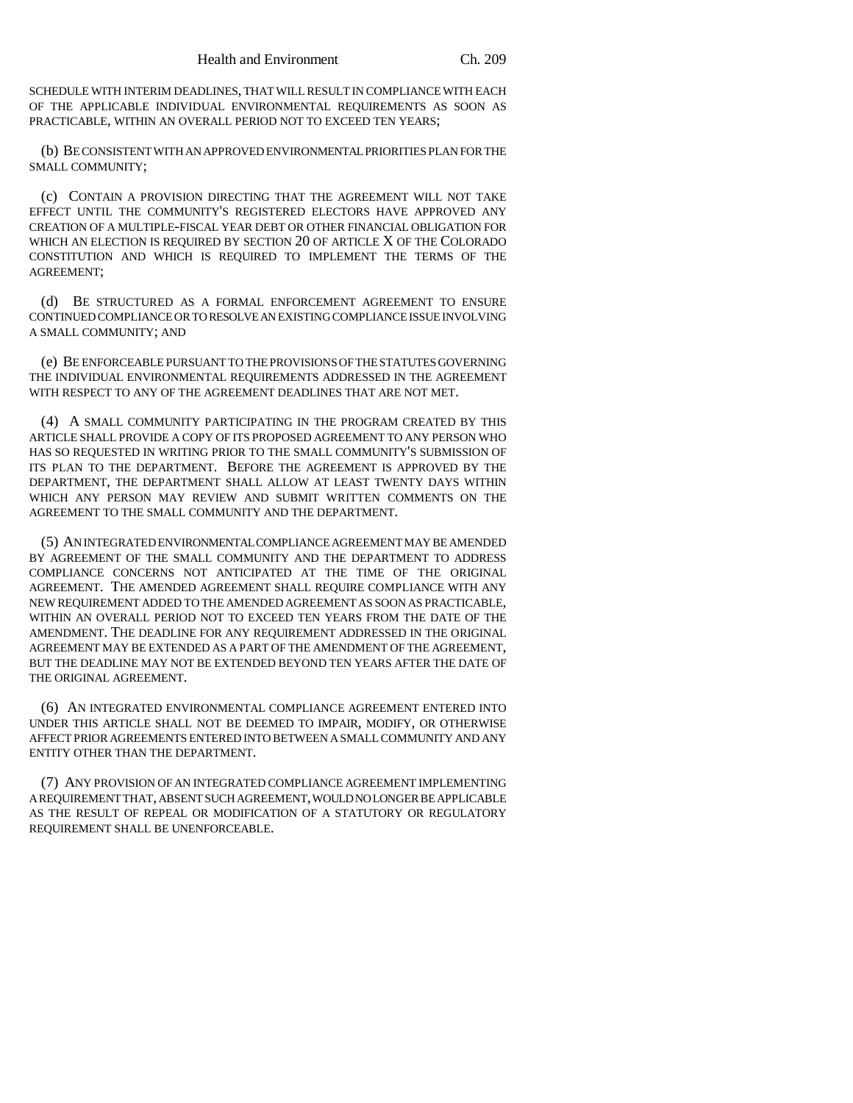SCHEDULE WITH INTERIM DEADLINES, THAT WILL RESULT IN COMPLIANCE WITH EACH OF THE APPLICABLE INDIVIDUAL ENVIRONMENTAL REQUIREMENTS AS SOON AS PRACTICABLE, WITHIN AN OVERALL PERIOD NOT TO EXCEED TEN YEARS;

(b) BE CONSISTENT WITH AN APPROVED ENVIRONMENTAL PRIORITIES PLAN FOR THE SMALL COMMUNITY;

(c) CONTAIN A PROVISION DIRECTING THAT THE AGREEMENT WILL NOT TAKE EFFECT UNTIL THE COMMUNITY'S REGISTERED ELECTORS HAVE APPROVED ANY CREATION OF A MULTIPLE-FISCAL YEAR DEBT OR OTHER FINANCIAL OBLIGATION FOR WHICH AN ELECTION IS REQUIRED BY SECTION 20 OF ARTICLE X OF THE COLORADO CONSTITUTION AND WHICH IS REQUIRED TO IMPLEMENT THE TERMS OF THE AGREEMENT;

(d) BE STRUCTURED AS A FORMAL ENFORCEMENT AGREEMENT TO ENSURE CONTINUED COMPLIANCE OR TO RESOLVE AN EXISTING COMPLIANCE ISSUE INVOLVING A SMALL COMMUNITY; AND

(e) BE ENFORCEABLE PURSUANT TO THE PROVISIONS OF THE STATUTES GOVERNING THE INDIVIDUAL ENVIRONMENTAL REQUIREMENTS ADDRESSED IN THE AGREEMENT WITH RESPECT TO ANY OF THE AGREEMENT DEADLINES THAT ARE NOT MET.

(4) A SMALL COMMUNITY PARTICIPATING IN THE PROGRAM CREATED BY THIS ARTICLE SHALL PROVIDE A COPY OF ITS PROPOSED AGREEMENT TO ANY PERSON WHO HAS SO REQUESTED IN WRITING PRIOR TO THE SMALL COMMUNITY'S SUBMISSION OF ITS PLAN TO THE DEPARTMENT. BEFORE THE AGREEMENT IS APPROVED BY THE DEPARTMENT, THE DEPARTMENT SHALL ALLOW AT LEAST TWENTY DAYS WITHIN WHICH ANY PERSON MAY REVIEW AND SUBMIT WRITTEN COMMENTS ON THE AGREEMENT TO THE SMALL COMMUNITY AND THE DEPARTMENT.

(5) AN INTEGRATED ENVIRONMENTAL COMPLIANCE AGREEMENT MAY BE AMENDED BY AGREEMENT OF THE SMALL COMMUNITY AND THE DEPARTMENT TO ADDRESS COMPLIANCE CONCERNS NOT ANTICIPATED AT THE TIME OF THE ORIGINAL AGREEMENT. THE AMENDED AGREEMENT SHALL REQUIRE COMPLIANCE WITH ANY NEW REQUIREMENT ADDED TO THE AMENDED AGREEMENT AS SOON AS PRACTICABLE, WITHIN AN OVERALL PERIOD NOT TO EXCEED TEN YEARS FROM THE DATE OF THE AMENDMENT. THE DEADLINE FOR ANY REQUIREMENT ADDRESSED IN THE ORIGINAL AGREEMENT MAY BE EXTENDED AS A PART OF THE AMENDMENT OF THE AGREEMENT, BUT THE DEADLINE MAY NOT BE EXTENDED BEYOND TEN YEARS AFTER THE DATE OF THE ORIGINAL AGREEMENT.

(6) AN INTEGRATED ENVIRONMENTAL COMPLIANCE AGREEMENT ENTERED INTO UNDER THIS ARTICLE SHALL NOT BE DEEMED TO IMPAIR, MODIFY, OR OTHERWISE AFFECT PRIOR AGREEMENTS ENTERED INTO BETWEEN A SMALL COMMUNITY AND ANY ENTITY OTHER THAN THE DEPARTMENT.

(7) ANY PROVISION OF AN INTEGRATED COMPLIANCE AGREEMENT IMPLEMENTING A REQUIREMENT THAT, ABSENT SUCH AGREEMENT, WOULD NO LONGER BE APPLICABLE AS THE RESULT OF REPEAL OR MODIFICATION OF A STATUTORY OR REGULATORY REQUIREMENT SHALL BE UNENFORCEABLE.